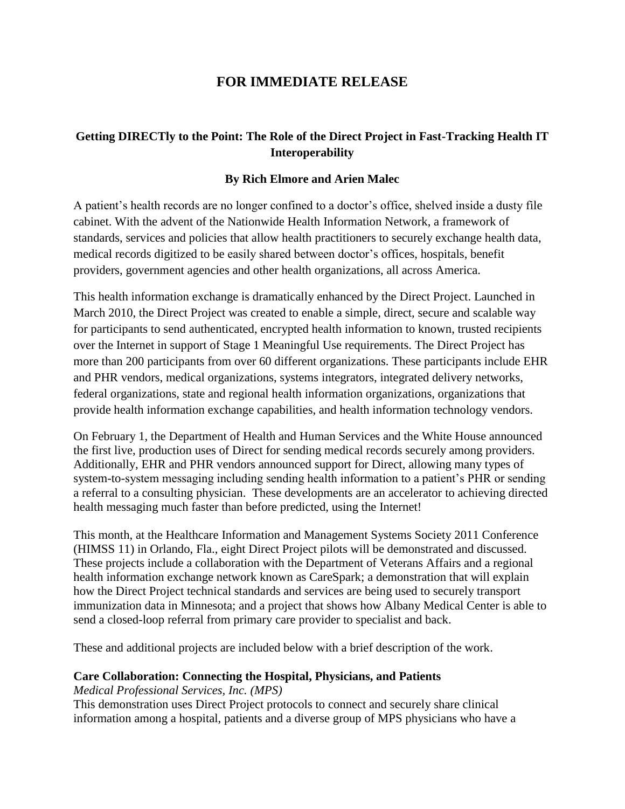## **FOR IMMEDIATE RELEASE**

## **Getting DIRECTly to the Point: The Role of the Direct Project in Fast-Tracking Health IT Interoperability**

## **By Rich Elmore and Arien Malec**

A patient's health records are no longer confined to a doctor's office, shelved inside a dusty file cabinet. With the advent of the Nationwide Health Information Network, a framework of standards, services and policies that allow health practitioners to securely exchange health data, medical records digitized to be easily shared between doctor's offices, hospitals, benefit providers, government agencies and other health organizations, all across America.

This health information exchange is dramatically enhanced by the Direct Project. Launched in March 2010, the Direct Project was created to enable a simple, direct, secure and scalable way for participants to send authenticated, encrypted health information to known, trusted recipients over the Internet in support of Stage 1 Meaningful Use requirements. The Direct Project has more than 200 participants from over 60 different organizations. These participants include EHR and PHR vendors, medical organizations, systems integrators, integrated delivery networks, federal organizations, state and regional health information organizations, organizations that provide health information exchange capabilities, and health information technology vendors.

On February 1, the Department of Health and Human Services and the White House announced the first live, production uses of Direct for sending medical records securely among providers. Additionally, EHR and PHR vendors announced support for Direct, allowing many types of system-to-system messaging including sending health information to a patient's PHR or sending a referral to a consulting physician. These developments are an accelerator to achieving directed health messaging much faster than before predicted, using the Internet!

This month, at the Healthcare Information and Management Systems Society 2011 Conference (HIMSS 11) in Orlando, Fla., eight Direct Project pilots will be demonstrated and discussed. These projects include a collaboration with the Department of Veterans Affairs and a regional health information exchange network known as CareSpark; a demonstration that will explain how the Direct Project technical standards and services are being used to securely transport immunization data in Minnesota; and a project that shows how Albany Medical Center is able to send a closed-loop referral from primary care provider to specialist and back.

These and additional projects are included below with a brief description of the work.

#### **Care Collaboration: Connecting the Hospital, Physicians, and Patients**

*Medical Professional Services, Inc. (MPS)*

This demonstration uses Direct Project protocols to connect and securely share clinical information among a hospital, patients and a diverse group of MPS physicians who have a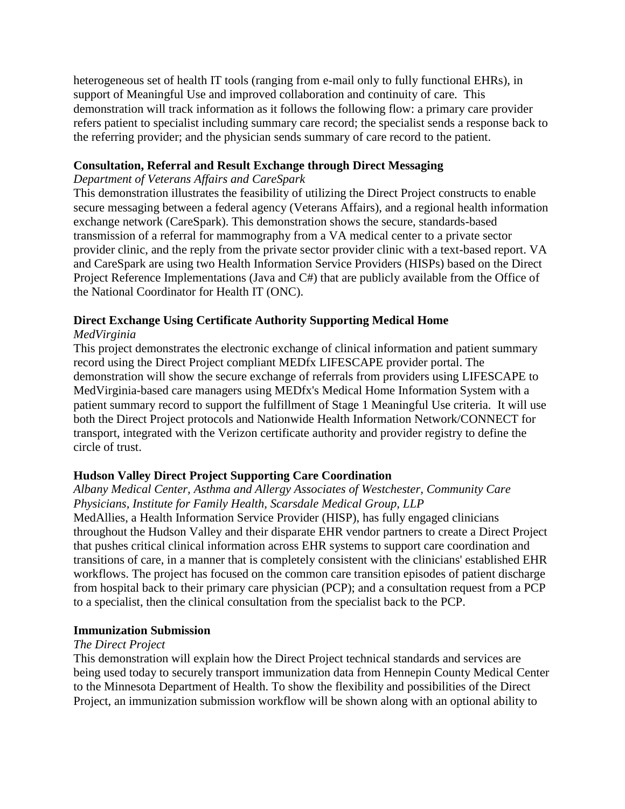heterogeneous set of health IT tools (ranging from e-mail only to fully functional EHRs), in support of Meaningful Use and improved collaboration and continuity of care. This demonstration will track information as it follows the following flow: a primary care provider refers patient to specialist including summary care record; the specialist sends a response back to the referring provider; and the physician sends summary of care record to the patient.

## **Consultation, Referral and Result Exchange through Direct Messaging**

## *Department of Veterans Affairs and CareSpark*

This demonstration illustrates the feasibility of utilizing the Direct Project constructs to enable secure messaging between a federal agency (Veterans Affairs), and a regional health information exchange network (CareSpark). This demonstration shows the secure, standards-based transmission of a referral for mammography from a VA medical center to a private sector provider clinic, and the reply from the private sector provider clinic with a text-based report. VA and CareSpark are using two Health Information Service Providers (HISPs) based on the Direct Project Reference Implementations (Java and C#) that are publicly available from the Office of the National Coordinator for Health IT (ONC).

## **Direct Exchange Using Certificate Authority Supporting Medical Home**

## *MedVirginia*

This project demonstrates the electronic exchange of clinical information and patient summary record using the Direct Project compliant MEDfx LIFESCAPE provider portal. The demonstration will show the secure exchange of referrals from providers using LIFESCAPE to MedVirginia-based care managers using MEDfx's Medical Home Information System with a patient summary record to support the fulfillment of Stage 1 Meaningful Use criteria. It will use both the Direct Project protocols and Nationwide Health Information Network/CONNECT for transport, integrated with the Verizon certificate authority and provider registry to define the circle of trust.

## **Hudson Valley Direct Project Supporting Care Coordination**

## *Albany Medical Center, Asthma and Allergy Associates of Westchester, Community Care Physicians, Institute for Family Health, Scarsdale Medical Group, LLP*

MedAllies, a Health Information Service Provider (HISP), has fully engaged clinicians throughout the Hudson Valley and their disparate EHR vendor partners to create a Direct Project that pushes critical clinical information across EHR systems to support care coordination and transitions of care, in a manner that is completely consistent with the clinicians' established EHR workflows. The project has focused on the common care transition episodes of patient discharge from hospital back to their primary care physician (PCP); and a consultation request from a PCP to a specialist, then the clinical consultation from the specialist back to the PCP.

## **Immunization Submission**

## *The Direct Project*

This demonstration will explain how the Direct Project technical standards and services are being used today to securely transport immunization data from Hennepin County Medical Center to the Minnesota Department of Health. To show the flexibility and possibilities of the Direct Project, an immunization submission workflow will be shown along with an optional ability to